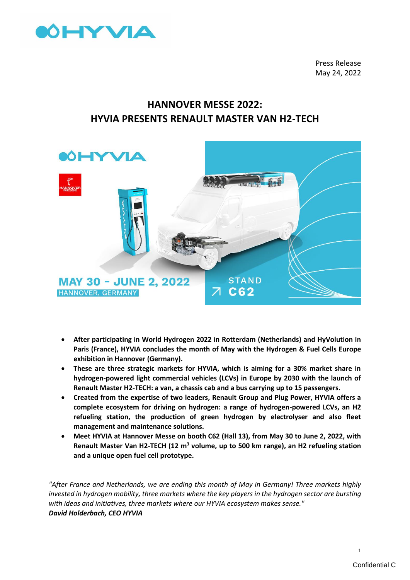

Press Release May 24, 2022

# **HANNOVER MESSE 2022: HYVIA PRESENTS RENAULT MASTER VAN H2-TECH**



- **After participating in World Hydrogen 2022 in Rotterdam (Netherlands) and HyVolution in Paris (France), HYVIA concludes the month of May with the Hydrogen & Fuel Cells Europe exhibition in Hannover (Germany).**
- **These are three strategic markets for HYVIA, which is aiming for a 30% market share in hydrogen-powered light commercial vehicles (LCVs) in Europe by 2030 with the launch of Renault Master H2-TECH: a van, a chassis cab and a bus carrying up to 15 passengers.**
- **Created from the expertise of two leaders, Renault Group and Plug Power, HYVIA offers a complete ecosystem for driving on hydrogen: a range of hydrogen-powered LCVs, an H2 refueling station, the production of green hydrogen by electrolyser and also fleet management and maintenance solutions.**
- **Meet HYVIA at Hannover Messe on booth C62 (Hall 13), from May 30 to June 2, 2022, with Renault Master Van H2-TECH (12 m<sup>3</sup> volume, up to 500 km range), an H2 refueling station and a unique open fuel cell prototype.**

*"After France and Netherlands, we are ending this month of May in Germany! Three markets highly invested in hydrogen mobility, three markets where the key players in the hydrogen sector are bursting with ideas and initiatives, three markets where our HYVIA ecosystem makes sense." David Holderbach, CEO HYVIA*

1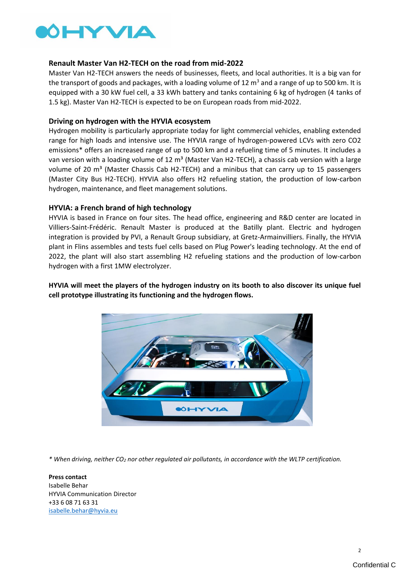

## **Renault Master Van H2-TECH on the road from mid-2022**

Master Van H2-TECH answers the needs of businesses, fleets, and local authorities. It is a big van for the transport of goods and packages, with a loading volume of 12  $m<sup>3</sup>$  and a range of up to 500 km. It is equipped with a 30 kW fuel cell, a 33 kWh battery and tanks containing 6 kg of hydrogen (4 tanks of 1.5 kg). Master Van H2-TECH is expected to be on European roads from mid-2022.

## **Driving on hydrogen with the HYVIA ecosystem**

Hydrogen mobility is particularly appropriate today for light commercial vehicles, enabling extended range for high loads and intensive use. The HYVIA range of hydrogen-powered LCVs with zero CO2 emissions\* offers an increased range of up to 500 km and a refueling time of 5 minutes. It includes a van version with a loading volume of 12 m<sup>3</sup> (Master Van H2-TECH), a chassis cab version with a large volume of 20  $m<sup>3</sup>$  (Master Chassis Cab H2-TECH) and a minibus that can carry up to 15 passengers (Master City Bus H2-TECH). HYVIA also offers H2 refueling station, the production of low-carbon hydrogen, maintenance, and fleet management solutions.

# **HYVIA: a French brand of high technology**

HYVIA is based in France on four sites. The head office, engineering and R&D center are located in Villiers-Saint-Frédéric. Renault Master is produced at the Batilly plant. Electric and hydrogen integration is provided by PVI, a Renault Group subsidiary, at Gretz-Armainvilliers. Finally, the HYVIA plant in Flins assembles and tests fuel cells based on Plug Power's leading technology. At the end of 2022, the plant will also start assembling H2 refueling stations and the production of low-carbon hydrogen with a first 1MW electrolyzer.

**HYVIA will meet the players of the hydrogen industry on its booth to also discover its unique fuel cell prototype illustrating its functioning and the hydrogen flows.**



*\* When driving, neither CO<sup>2</sup> nor other regulated air pollutants, in accordance with the WLTP certification.*

**Press contact** Isabelle Behar HYVIA Communication Director +33 6 08 71 63 31 [isabelle.behar@hyvia.eu](mailto:isabelle.behar@hyvia.eu)

2